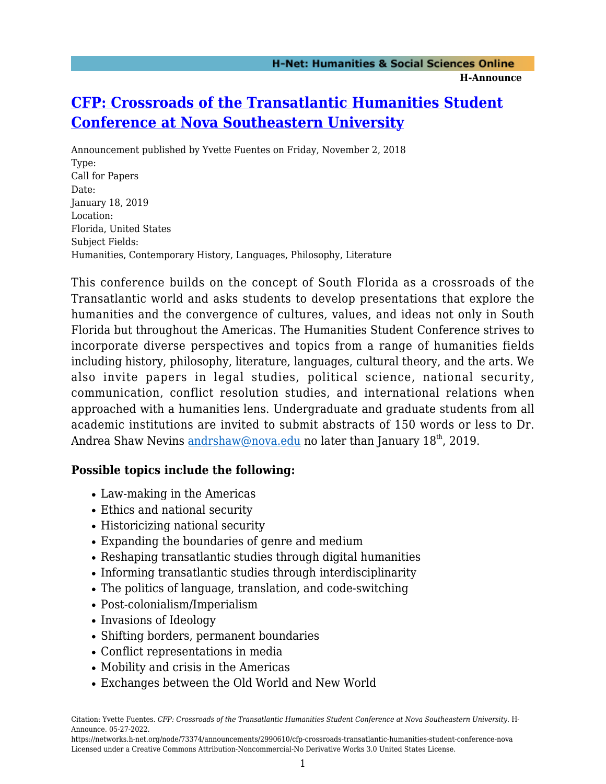# **[CFP: Crossroads of the Transatlantic Humanities Student](https://networks.h-net.org/node/73374/announcements/2990610/cfp-crossroads-transatlantic-humanities-student-conference-nova) [Conference at Nova Southeastern University](https://networks.h-net.org/node/73374/announcements/2990610/cfp-crossroads-transatlantic-humanities-student-conference-nova)**

Announcement published by Yvette Fuentes on Friday, November 2, 2018 Type: Call for Papers Date: January 18, 2019 Location: Florida, United States Subject Fields: Humanities, Contemporary History, Languages, Philosophy, Literature

This conference builds on the concept of South Florida as a crossroads of the Transatlantic world and asks students to develop presentations that explore the humanities and the convergence of cultures, values, and ideas not only in South Florida but throughout the Americas. The Humanities Student Conference strives to incorporate diverse perspectives and topics from a range of humanities fields including history, philosophy, literature, languages, cultural theory, and the arts. We also invite papers in legal studies, political science, national security, communication, conflict resolution studies, and international relations when approached with a humanities lens. Undergraduate and graduate students from all academic institutions are invited to submit abstracts of 150 words or less to Dr. Andrea Shaw Nevins [andrshaw@nova.edu](mailto:andrshaw@nova.edu) no later than January 18<sup>th</sup>, 2019.

#### **Possible topics include the following:**

- Law-making in the Americas
- Ethics and national security
- Historicizing national security
- Expanding the boundaries of genre and medium
- Reshaping transatlantic studies through digital humanities
- Informing transatlantic studies through interdisciplinarity
- The politics of language, translation, and code-switching
- Post-colonialism/Imperialism
- Invasions of Ideology
- Shifting borders, permanent boundaries
- Conflict representations in media
- Mobility and crisis in the Americas
- Exchanges between the Old World and New World

Citation: Yvette Fuentes. *CFP: Crossroads of the Transatlantic Humanities Student Conference at Nova Southeastern University*. H-Announce. 05-27-2022.

https://networks.h-net.org/node/73374/announcements/2990610/cfp-crossroads-transatlantic-humanities-student-conference-nova Licensed under a Creative Commons Attribution-Noncommercial-No Derivative Works 3.0 United States License.